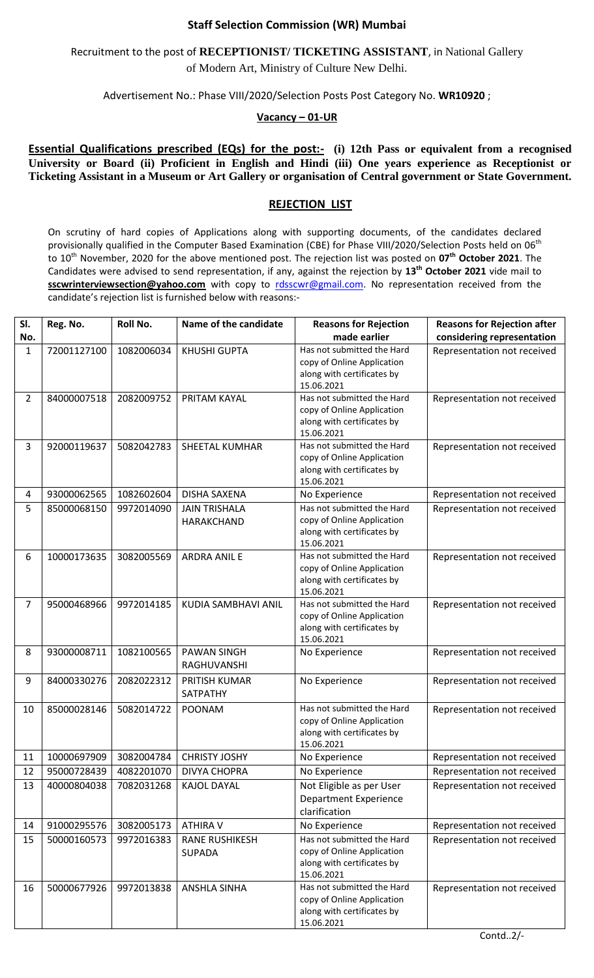## **Staff Selection Commission (WR) Mumbai**

## Recruitment to the post of **RECEPTIONIST/ TICKETING ASSISTANT**, in National Gallery of Modern Art, Ministry of Culture New Delhi.

Advertisement No.: Phase VIII/2020/Selection Posts Post Category No. **WR10920** ;

## **Vacancy – 01-UR**

**Essential Qualifications prescribed (EQs) for the post:-** (i) 12th Pass or equivalent from a recognised **University or Board (ii) Proficient in English and Hindi (iii) One years experience as Receptionist or Ticketing Assistant in a Museum or Art Gallery or organisation of Central government or State Government.**

## **REJECTION LIST**

On scrutiny of hard copies of Applications along with supporting documents, of the candidates declared provisionally qualified in the Computer Based Examination (CBE) for Phase VIII/2020/Selection Posts held on 06<sup>th</sup> to 10th November, 2020 for the above mentioned post. The rejection list was posted on **07th October 2021**. The Candidates were advised to send representation, if any, against the rejection by **13th October 2021** vide mail to **sscwrinterviewsection@yahoo.com** with copy to [rdsscwr@gmail.com.](mailto:rdsscwr@gmail.com) No representation received from the candidate's rejection list is furnished below with reasons:-

| SI.            | Reg. No.    | Roll No.   | Name of the candidate | <b>Reasons for Rejection</b>                             | <b>Reasons for Rejection after</b> |
|----------------|-------------|------------|-----------------------|----------------------------------------------------------|------------------------------------|
| No.            |             |            |                       | made earlier                                             | considering representation         |
| 1              | 72001127100 | 1082006034 | <b>KHUSHI GUPTA</b>   | Has not submitted the Hard<br>copy of Online Application | Representation not received        |
|                |             |            |                       | along with certificates by                               |                                    |
|                |             |            |                       | 15.06.2021                                               |                                    |
| $\overline{2}$ | 84000007518 | 2082009752 | PRITAM KAYAL          | Has not submitted the Hard                               | Representation not received        |
|                |             |            |                       | copy of Online Application                               |                                    |
|                |             |            |                       | along with certificates by<br>15.06.2021                 |                                    |
| 3              | 92000119637 | 5082042783 | SHEETAL KUMHAR        | Has not submitted the Hard                               | Representation not received        |
|                |             |            |                       | copy of Online Application                               |                                    |
|                |             |            |                       | along with certificates by                               |                                    |
|                |             |            |                       | 15.06.2021                                               |                                    |
| 4              | 93000062565 | 1082602604 | <b>DISHA SAXENA</b>   | No Experience                                            | Representation not received        |
| 5              | 85000068150 | 9972014090 | <b>JAIN TRISHALA</b>  | Has not submitted the Hard                               | Representation not received        |
|                |             |            | HARAKCHAND            | copy of Online Application<br>along with certificates by |                                    |
|                |             |            |                       | 15.06.2021                                               |                                    |
| 6              | 10000173635 | 3082005569 | <b>ARDRA ANIL E</b>   | Has not submitted the Hard                               | Representation not received        |
|                |             |            |                       | copy of Online Application                               |                                    |
|                |             |            |                       | along with certificates by                               |                                    |
|                |             |            |                       | 15.06.2021                                               |                                    |
| 7              | 95000468966 | 9972014185 | KUDIA SAMBHAVI ANIL   | Has not submitted the Hard                               | Representation not received        |
|                |             |            |                       | copy of Online Application<br>along with certificates by |                                    |
|                |             |            |                       | 15.06.2021                                               |                                    |
| 8              | 93000008711 | 1082100565 | <b>PAWAN SINGH</b>    | No Experience                                            | Representation not received        |
|                |             |            | RAGHUVANSHI           |                                                          |                                    |
| 9              | 84000330276 | 2082022312 | PRITISH KUMAR         | No Experience                                            | Representation not received        |
|                |             |            | SATPATHY              |                                                          |                                    |
| 10             | 85000028146 | 5082014722 | POONAM                | Has not submitted the Hard                               | Representation not received        |
|                |             |            |                       | copy of Online Application                               |                                    |
|                |             |            |                       | along with certificates by<br>15.06.2021                 |                                    |
| 11             | 10000697909 | 3082004784 | <b>CHRISTY JOSHY</b>  | No Experience                                            | Representation not received        |
| 12             | 95000728439 | 4082201070 | <b>DIVYA CHOPRA</b>   | No Experience                                            | Representation not received        |
| 13             | 40000804038 | 7082031268 | <b>KAJOL DAYAL</b>    | Not Eligible as per User                                 | Representation not received        |
|                |             |            |                       | <b>Department Experience</b>                             |                                    |
|                |             |            |                       | clarification                                            |                                    |
| 14             | 91000295576 | 3082005173 | <b>ATHIRA V</b>       | No Experience                                            | Representation not received        |
| 15             | 50000160573 | 9972016383 | <b>RANE RUSHIKESH</b> | Has not submitted the Hard                               | Representation not received        |
|                |             |            | <b>SUPADA</b>         | copy of Online Application                               |                                    |
|                |             |            |                       | along with certificates by<br>15.06.2021                 |                                    |
| 16             | 50000677926 | 9972013838 | <b>ANSHLA SINHA</b>   | Has not submitted the Hard                               | Representation not received        |
|                |             |            |                       | copy of Online Application                               |                                    |
|                |             |            |                       | along with certificates by                               |                                    |
|                |             |            |                       | 15.06.2021                                               |                                    |